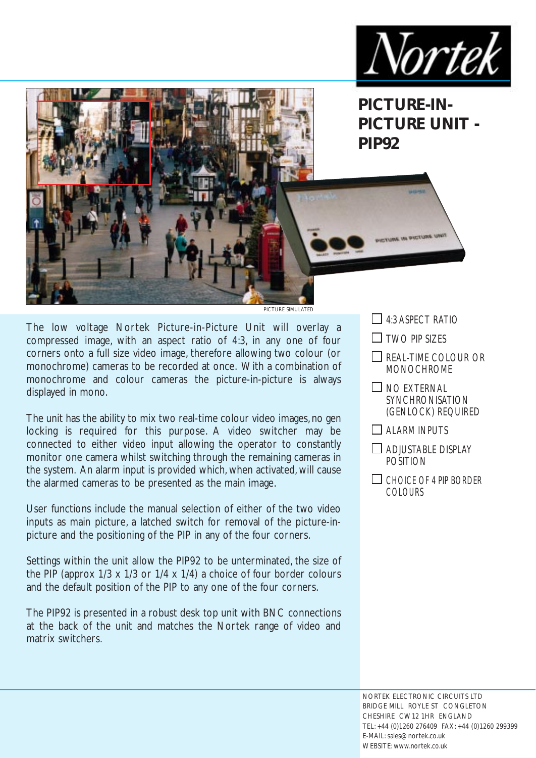



**PICTURE SIMULATED** 

The low voltage Nortek Picture-in-Picture Unit will overlay a compressed image, with an aspect ratio of 4:3, in any one of four corners onto a full size video image, therefore allowing two colour (or monochrome) cameras to be recorded at once. With a combination of monochrome and colour cameras the picture-in-picture is always displayed in mono.

The unit has the ability to mix two real-time colour video images, no gen locking is required for this purpose. A video switcher may be connected to either video input allowing the operator to constantly monitor one camera whilst switching through the remaining cameras in the system. An alarm input is provided which, when activated, will cause the alarmed cameras to be presented as the main image.

User functions include the manual selection of either of the two video inputs as main picture, a latched switch for removal of the picture-inpicture and the positioning of the PIP in any of the four corners.

Settings within the unit allow the PIP92 to be unterminated, the size of the PIP (approx 1/3 x 1/3 or 1/4 x 1/4) a choice of four border colours and the default position of the PIP to any one of the four corners.

The PIP92 is presented in a robust desk top unit with BNC connections at the back of the unit and matches the Nortek range of video and matrix switchers.

- $\Box$  4:3 ASPECT RATIO
- $\Box$  TWO PIP SIZES
- $\Box$  REAL-TIME COLOUR OR MONOCHROME
- $\Box$  NO EXTERNAL **SYNCHRONISATION** (GENLOCK) REQUIRED
- $\Box$  ALARM INPUTS
- $\Box$  ADJUSTABLE DISPLAY POSITION
- $\Box$  CHOICE OF 4 PIP BORDER COLOURS

NORTEK ELECTRONIC CIRCUITS LTD BRIDGE MILL ROYLE ST CONGLETON CHESHIRE CW12 1HR ENGLAND TEL: +44 (0)1260 276409 FAX: +44 (0)1260 299399 E-MAIL: sales@nortek.co.uk WEBSITE: www.nortek.co.uk